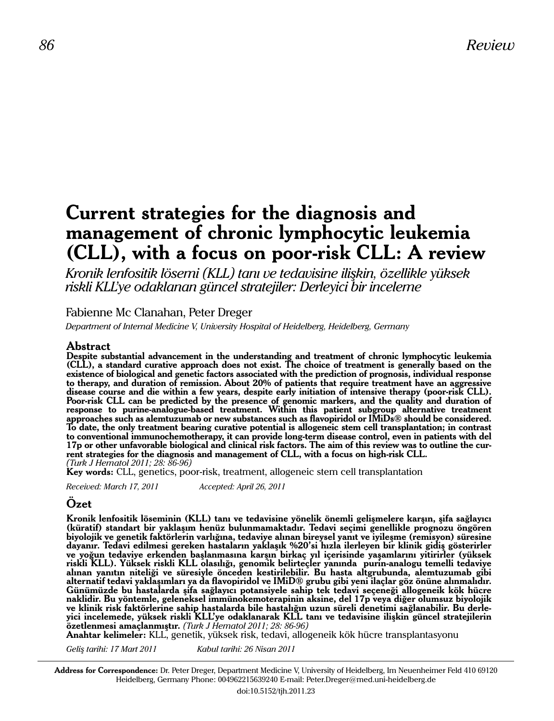# **Current strategies for the diagnosis and management of chronic lymphocytic leukemia (CLL), with a focus on poor-risk CLL: A review**

*Kronik lenfositik lösemi (KLL) tanı ve tedavisine ilişkin, özellikle yüksek riskli KLL'ye odaklanan güncel stratejiler: Derleyici bir inceleme*

# Fabienne Mc Clanahan, Peter Dreger

*Department of Internal Medicine V, University Hospital of Heidelberg, Heidelberg, Germany*

# **Abstract**

**Despite substantial advancement in the understanding and treatment of chronic lymphocytic leukemia (CLL), a standard curative approach does not exist. The choice of treatment is generally based on the existence of biological and genetic factors associated with the prediction of prognosis, individual response to therapy, and duration of remission. About 20% of patients that require treatment have an aggressive disease course and die within a few years, despite early initiation of intensive therapy (poor-risk CLL). Poor-risk CLL can be predicted by the presence of genomic markers, and the quality and duration of response to purine-analogue-based treatment. Within this patient subgroup alternative treatment approaches such as alemtuzumab or new substances such as flavopiridol or IMiDs® should be considered. To date, the only treatment bearing curative potential is allogeneic stem cell transplantation; in contrast to conventional immunochemotherapy, it can provide long-term disease control, even in patients with del**  rent strategies for the diagnosis and management of CLL, with a focus on high-risk CLL. *(Turk J Hematol 2011; 28: 86-96)*

**Key words:** CLL, genetics, poor-risk, treatment, allogeneic stem cell transplantation

*Received: March 17, 2011 Accepted: April 26, 2011* 

# **Özet**

**Kronik lenfositik löseminin (KLL) tanı ve tedavisine yönelik önemli gelişmelere karşın, şifa sağlayıcı**  biyolojik ve genetik faktörlerin varlığına, tedaviye alınan bireysel yanıt ve iyileşme (remisyon) süresine **dayanır. Tedavi edilmesi gereken hastaların yaklaşık %20'si hızla ilerleyen bir klinik gidiş gösterirler ve yoğun tedaviye erkenden başlanmasına karşın birkaç yıl içerisinde yaşamlarını yitirirler (yüksek riskli KLL). Yüksek riskli KLL olasılığı, genomik belirteçler yanında purin-analogu temelli tedaviye alınan yanıtın niteliği ve süresiyle önceden kestirilebilir. Bu hasta altgrubunda, alemtuzumab gibi alternatif tedavi yaklaşımları ya da flavopiridol ve IMiD® grubu gibi yeni ilaçlar göz önüne alınmalıdır. Günümüzde bu hastalarda şifa sağlayıcı potansiyele sahip tek tedavi seçeneği allogeneik kök hücre naklidir. Bu yöntemle, geleneksel immünokemoterapinin aksine, del 17p veya diğer olumsuz biyolojik ve klinik risk faktörlerine sahip hastalarda bile hastalığın uzun süreli denetimi sağlanabilir. Bu derle- yici incelemede, yüksek riskli KLL'ye odaklanarak KLL tanı ve tedavisine ilişkin güncel stratejilerin özetlenmesi amaçlanmıştır.** *(Turk J Hematol 2011; 28: 86-96)*

**Anahtar kelimeler:** KLL, genetik, yüksek risk, tedavi, allogeneik kök hücre transplantasyonu

*Geliş tarihi: 17 Mart 2011 Kabul tarihi: 26 Nisan 2011*

**Address for Correspondence:** Dr. Peter Dreger, Department Medicine V, University of Heidelberg, Im Neuenheimer Feld 410 69120 Heidelberg, Germany Phone: 004962215639240 E-mail: Peter.Dreger@med.uni-heidelberg.de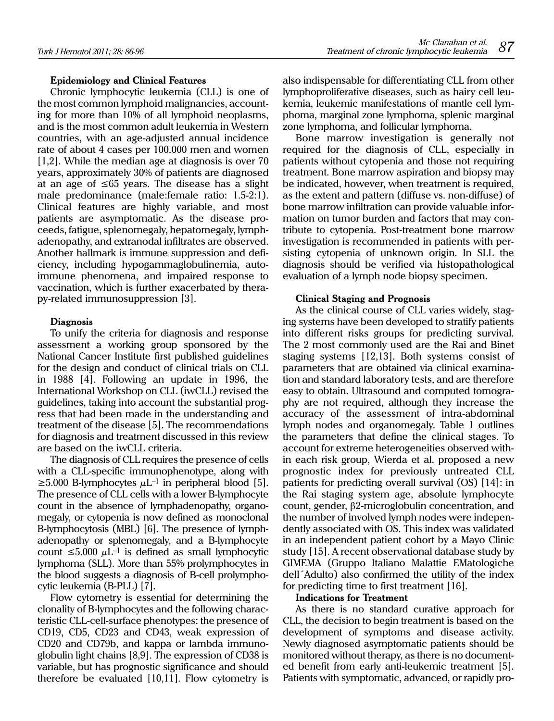#### **Epidemiology and Clinical Features**

Chronic lymphocytic leukemia (CLL) is one of the most common lymphoid malignancies, accounting for more than 10% of all lymphoid neoplasms, and is the most common adult leukemia in Western countries, with an age-adjusted annual incidence rate of about 4 cases per 100.000 men and women [1,2]. While the median age at diagnosis is over 70 years, approximately 30% of patients are diagnosed at an age of ≤65 years. The disease has a slight male predominance (male:female ratio: 1.5-2:1). Clinical features are highly variable, and most patients are asymptomatic. As the disease proceeds, fatigue, splenomegaly, hepatomegaly, lymphadenopathy, and extranodal infiltrates are observed. Another hallmark is immune suppression and deficiency, including hypogammaglobulinemia, autoimmune phenomena, and impaired response to vaccination, which is further exacerbated by therapy-related immunosuppression [3].

# **Diagnosis**

To unify the criteria for diagnosis and response assessment a working group sponsored by the National Cancer Institute first published guidelines for the design and conduct of clinical trials on CLL in 1988 [4]. Following an update in 1996, the International Workshop on CLL (iwCLL) revised the guidelines, taking into account the substantial progress that had been made in the understanding and treatment of the disease [5]. The recommendations for diagnosis and treatment discussed in this review are based on the iwCLL criteria.

The diagnosis of CLL requires the presence of cells with a CLL-specific immunophenotype, along with  $\geq$ 5.000 B-lymphocytes  $\mu$ L<sup>-1</sup> in peripheral blood [5]. The presence of CLL cells with a lower B-lymphocyte count in the absence of lymphadenopathy, organomegaly, or cytopenia is now defined as monoclonal B-lymphocytosis (MBL) [6]. The presence of lymphadenopathy or splenomegaly, and a B-lymphocyte count  $\leq 5.000 \mu L^{-1}$  is defined as small lymphocytic lymphoma (SLL). More than 55% prolymphocytes in the blood suggests a diagnosis of B-cell prolymphocytic leukemia (B-PLL) [7].

Flow cytometry is essential for determining the clonality of B-lymphocytes and the following characteristic CLL-cell-surface phenotypes: the presence of CD19, CD5, CD23 and CD43, weak expression of CD20 and CD79b, and kappa or lambda immunoglobulin light chains [8,9]. The expression of CD38 is variable, but has prognostic significance and should therefore be evaluated [10,11]. Flow cytometry is also indispensable for differentiating CLL from other lymphoproliferative diseases, such as hairy cell leukemia, leukemic manifestations of mantle cell lymphoma, marginal zone lymphoma, splenic marginal zone lymphoma, and follicular lymphoma.

Bone marrow investigation is generally not required for the diagnosis of CLL, especially in patients without cytopenia and those not requiring treatment. Bone marrow aspiration and biopsy may be indicated, however, when treatment is required, as the extent and pattern (diffuse vs. non-diffuse) of bone marrow infiltration can provide valuable information on tumor burden and factors that may contribute to cytopenia. Post-treatment bone marrow investigation is recommended in patients with persisting cytopenia of unknown origin. In SLL the diagnosis should be verified via histopathological evaluation of a lymph node biopsy specimen.

#### **Clinical Staging and Prognosis**

As the clinical course of CLL varies widely, staging systems have been developed to stratify patients into different risks groups for predicting survival. The 2 most commonly used are the Rai and Binet staging systems [12,13]. Both systems consist of parameters that are obtained via clinical examination and standard laboratory tests, and are therefore easy to obtain. Ultrasound and computed tomography are not required, although they increase the accuracy of the assessment of intra-abdominal lymph nodes and organomegaly. Table 1 outlines the parameters that define the clinical stages. To account for extreme heterogeneities observed within each risk group, Wierda et al. proposed a new prognostic index for previously untreated CLL patients for predicting overall survival (OS) [14]: in the Rai staging system age, absolute lymphocyte count, gender,  $\beta$ 2-microglobulin concentration, and the number of involved lymph nodes were independently associated with OS. This index was validated in an independent patient cohort by a Mayo Clinic study [15]. A recent observational database study by GIMEMA (Gruppo Italiano Malattie EMatologiche dell´Adulto) also confirmed the utility of the index for predicting time to first treatment [16].

#### **Indications for Treatment**

As there is no standard curative approach for CLL, the decision to begin treatment is based on the development of symptoms and disease activity. Newly diagnosed asymptomatic patients should be monitored without therapy, as there is no documented benefit from early anti-leukemic treatment [5]. Patients with symptomatic, advanced, or rapidly pro-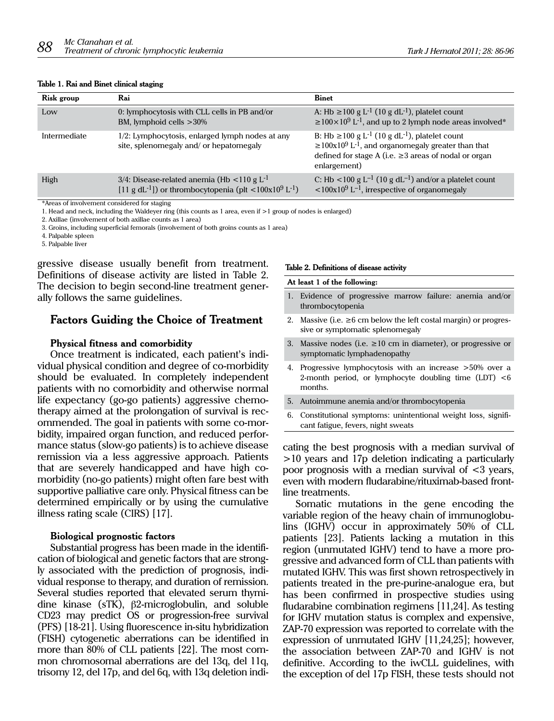#### **Table 1. Rai and Binet clinical staging**

| Risk group   | Rai                                                                                                                                                    | <b>Binet</b>                                                                                                                                                                                                                      |
|--------------|--------------------------------------------------------------------------------------------------------------------------------------------------------|-----------------------------------------------------------------------------------------------------------------------------------------------------------------------------------------------------------------------------------|
| Low          | 0: lymphocytosis with CLL cells in PB and/or<br>BM, lymphoid cells $>30\%$                                                                             | A: Hb $\geq$ 100 g L <sup>-1</sup> (10 g dL <sup>-1</sup> ), platelet count<br>$\geq$ 100×10 <sup>9</sup> L <sup>-1</sup> , and up to 2 lymph node areas involved <sup>*</sup>                                                    |
| Intermediate | $1/2$ : Lymphocytosis, enlarged lymph nodes at any<br>site, splenomegaly and/ or hepatomegaly                                                          | B: Hb $\geq$ 100 g L <sup>-1</sup> (10 g dL <sup>-1</sup> ), platelet count<br>$\geq 100x10^9$ L <sup>-1</sup> , and organomegaly greater than that<br>defined for stage A (i.e. $\geq$ 3 areas of nodal or organ<br>enlargement) |
| High         | $3/4$ : Disease-related anemia (Hb <110 g L <sup>-1</sup><br>[11 g dL <sup>-1</sup> ]) or thrombocytopenia (plt <100x10 <sup>9</sup> L <sup>-1</sup> ) | C: Hb <100 g L <sup>-1</sup> (10 g dL <sup>-1</sup> ) and/or a platelet count<br>$\langle 100x10^9 L^{-1}$ , irrespective of organomegaly                                                                                         |

\*Areas of involvement considered for staging

1. Head and neck, including the Waldeyer ring (this counts as 1 area, even if >1 group of nodes is enlarged)

2. Axillae (involvement of both axillae counts as 1 area)

3. Groins, including superficial femorals (involvement of both groins counts as 1 area)

4. Palpable spleen

5. Palpable liver

gressive disease usually benefit from treatment. Definitions of disease activity are listed in Table 2. The decision to begin second-line treatment generally follows the same guidelines.

# **Factors Guiding the Choice of Treatment**

#### **Physical fitness and comorbidity**

Once treatment is indicated, each patient's individual physical condition and degree of co-morbidity should be evaluated. In completely independent patients with no comorbidity and otherwise normal life expectancy (go-go patients) aggressive chemotherapy aimed at the prolongation of survival is recommended. The goal in patients with some co-morbidity, impaired organ function, and reduced performance status (slow-go patients) is to achieve disease remission via a less aggressive approach. Patients that are severely handicapped and have high comorbidity (no-go patients) might often fare best with supportive palliative care only. Physical fitness can be determined empirically or by using the cumulative illness rating scale (CIRS) [17].

#### **Biological prognostic factors**

Substantial progress has been made in the identification of biological and genetic factors that are strongly associated with the prediction of prognosis, individual response to therapy, and duration of remission. Several studies reported that elevated serum thymidine kinase (sTK),  $\beta$ 2-microglobulin, and soluble CD23 may predict OS or progression-free survival (PFS) [18-21]. Using fluorescence in-situ hybridization (FISH) cytogenetic aberrations can be identified in more than 80% of CLL patients [22]. The most common chromosomal aberrations are del 13q, del 11q, trisomy 12, del 17p, and del 6q, with 13q deletion indi-

#### **Table 2. Definitions of disease activity**

**At least 1 of the following:**

- 1. Evidence of progressive marrow failure: anemia and/or thrombocytopenia
- 2. Massive (i.e.  $\geq 6$  cm below the left costal margin) or progressive or symptomatic splenomegaly
- 3. Massive nodes (i.e.  $\geq 10$  cm in diameter), or progressive or symptomatic lymphadenopathy
- 4. Progressive lymphocytosis with an increase >50% over a 2-month period, or lymphocyte doubling time (LDT) <6 months.
- 5. Autoimmune anemia and/or thrombocytopenia
- 6. Constitutional symptoms: unintentional weight loss, significant fatigue, fevers, night sweats

cating the best prognosis with a median survival of >10 years and 17p deletion indicating a particularly poor prognosis with a median survival of <3 years, even with modern fludarabine/rituximab-based frontline treatments.

Somatic mutations in the gene encoding the variable region of the heavy chain of immunoglobulins (IGHV) occur in approximately 50% of CLL patients [23]. Patients lacking a mutation in this region (unmutated IGHV) tend to have a more progressive and advanced form of CLL than patients with mutated IGHV. This was first shown retrospectively in patients treated in the pre-purine-analogue era, but has been confirmed in prospective studies using fludarabine combination regimens [11,24]. As testing for IGHV mutation status is complex and expensive, ZAP-70 expression was reported to correlate with the expression of unmutated IGHV [11,24,25]; however, the association between ZAP-70 and IGHV is not definitive. According to the iwCLL guidelines, with the exception of del 17p FISH, these tests should not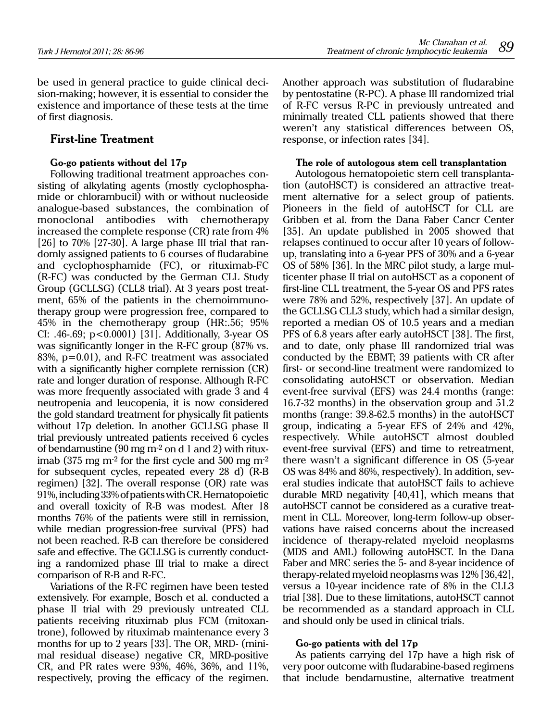be used in general practice to guide clinical decision-making; however, it is essential to consider the existence and importance of these tests at the time of first diagnosis.

# **First-line Treatment**

# **Go-go patients without del 17p**

Following traditional treatment approaches consisting of alkylating agents (mostly cyclophosphamide or chlorambucil) with or without nucleoside analogue-based substances, the combination of monoclonal antibodies with chemotherapy increased the complete response (CR) rate from 4%  $[26]$  to 70%  $[27-30]$ . A large phase III trial that randomly assigned patients to 6 courses of fludarabine and cyclophosphamide (FC), or rituximab-FC (R-FC) was conducted by the German CLL Study Group (GCLLSG) (CLL8 trial). At 3 years post treatment, 65% of the patients in the chemoimmunotherapy group were progression free, compared to 45% in the chemotherapy group (HR:.56; 95% CI: .46-.69; p<0.0001) [31]. Additionally, 3-year OS was significantly longer in the R-FC group (87% vs. 83%, p=0.01), and R-FC treatment was associated with a significantly higher complete remission (CR) rate and longer duration of response. Although R-FC was more frequently associated with grade 3 and 4 neutropenia and leucopenia, it is now considered the gold standard treatment for physically fit patients without 17p deletion. In another GCLLSG phase II trial previously untreated patients received 6 cycles of bendamustine  $(90 \text{ mg m}^2 \text{ on d } 1 \text{ and } 2)$  with rituximab (375 mg  $m<sup>2</sup>$  for the first cycle and 500 mg  $m<sup>2</sup>$ for subsequent cycles, repeated every 28 d) (R-B regimen) [32]. The overall response (OR) rate was 91%, including 33% of patients with CR. Hematopoietic and overall toxicity of R-B was modest. After 18 months 76% of the patients were still in remission, while median progression-free survival (PFS) had not been reached. R-B can therefore be considered safe and effective. The GCLLSG is currently conducting a randomized phase III trial to make a direct comparison of R-B and R-FC.

Variations of the R-FC regimen have been tested extensively. For example, Bosch et al. conducted a phase II trial with 29 previously untreated CLL patients receiving rituximab plus FCM (mitoxantrone), followed by rituximab maintenance every 3 months for up to 2 years [33]. The OR, MRD- (minimal residual disease) negative CR, MRD-positive CR, and PR rates were 93%, 46%, 36%, and 11%, respectively, proving the efficacy of the regimen.

Another approach was substitution of fludarabine by pentostatine (R-PC). A phase III randomized trial of R-FC versus R-PC in previously untreated and minimally treated CLL patients showed that there weren't any statistical differences between OS, response, or infection rates [34].

#### **The role of autologous stem cell transplantation**

Autologous hematopoietic stem cell transplantation (autoHSCT) is considered an attractive treatment alternative for a select group of patients. Pioneers in the field of autoHSCT for CLL are Gribben et al. from the Dana Faber Cancr Center [35]. An update published in 2005 showed that relapses continued to occur after 10 years of followup, translating into a 6-year PFS of 30% and a 6-year OS of 58% [36]. In the MRC pilot study, a large multicenter phase II trial on autoHSCT as a coponent of first-line CLL treatment, the 5-year OS and PFS rates were 78% and 52%, respectively [37]. An update of the GCLLSG CLL3 study, which had a similar design, reported a median OS of 10.5 years and a median PFS of 6.8 years after early autoHSCT [38]. The first, and to date, only phase III randomized trial was conducted by the EBMT; 39 patients with CR after first- or second-line treatment were randomized to consolidating autoHSCT or observation. Median event-free survival (EFS) was 24.4 months (range: 16.7-32 months) in the observation group and 51.2 months (range: 39.8-62.5 months) in the autoHSCT group, indicating a 5-year EFS of 24% and 42%, respectively. While autoHSCT almost doubled event-free survival (EFS) and time to retreatment, there wasn't a significant difference in OS (5-year OS was 84% and 86%, respectively). In addition, several studies indicate that autoHSCT fails to achieve durable MRD negativity [40,41], which means that autoHSCT cannot be considered as a curative treatment in CLL. Moreover, long-term follow-up observations have raised concerns about the increased incidence of therapy-related myeloid neoplasms (MDS and AML) following autoHSCT. In the Dana Faber and MRC series the 5- and 8-year incidence of therapy-related myeloid neoplasms was 12% [36,42], versus a 10-year incidence rate of 8% in the CLL3 trial [38]. Due to these limitations, autoHSCT cannot be recommended as a standard approach in CLL and should only be used in clinical trials.

# **Go-go patients with del 17p**

As patients carrying del 17p have a high risk of very poor outcome with fludarabine-based regimens that include bendamustine, alternative treatment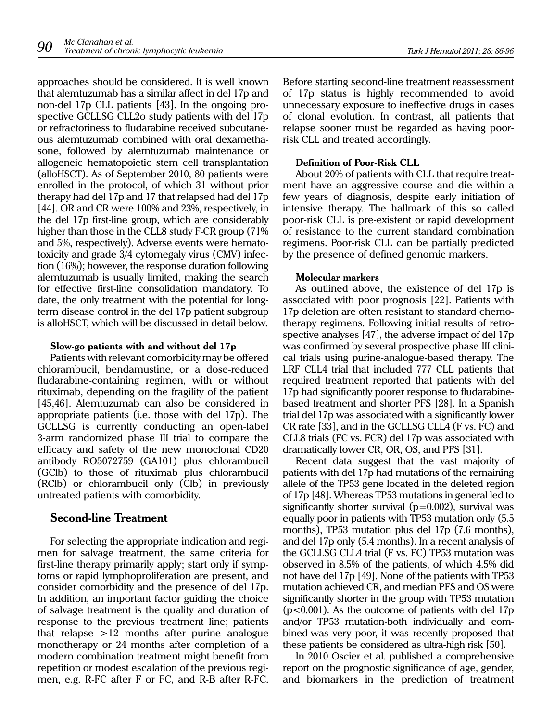approaches should be considered. It is well known that alemtuzumab has a similar affect in del 17p and non-del 17p CLL patients [43]. In the ongoing prospective GCLLSG CLL2o study patients with del 17p or refractoriness to fludarabine received subcutaneous alemtuzumab combined with oral dexamethasone, followed by alemtuzumab maintenance or allogeneic hematopoietic stem cell transplantation (alloHSCT). As of September 2010, 80 patients were enrolled in the protocol, of which 31 without prior therapy had del 17p and 17 that relapsed had del 17p [44]. OR and CR were 100% and 23%, respectively, in the del 17p first-line group, which are considerably higher than those in the CLL8 study F-CR group (71% and 5%, respectively). Adverse events were hematotoxicity and grade 3/4 cytomegaly virus (CMV) infection (16%); however, the response duration following alemtuzumab is usually limited, making the search for effective first-line consolidation mandatory. To date, the only treatment with the potential for longterm disease control in the del 17p patient subgroup is alloHSCT, which will be discussed in detail below.

## **Slow-go patients with and without del 17p**

Patients with relevant comorbidity may be offered chlorambucil, bendamustine, or a dose-reduced fludarabine-containing regimen, with or without rituximab, depending on the fragility of the patient [45,46]. Alemtuzumab can also be considered in appropriate patients (i.e. those with del 17p). The GCLLSG is currently conducting an open-label 3-arm randomized phase III trial to compare the efficacy and safety of the new monoclonal CD20 antibody RO5072759 (GA101) plus chlorambucil (GClb) to those of rituximab plus chlorambucil (RClb) or chlorambucil only (Clb) in previously untreated patients with comorbidity.

# **Second-line Treatment**

For selecting the appropriate indication and regimen for salvage treatment, the same criteria for first-line therapy primarily apply; start only if symptoms or rapid lymphoproliferation are present, and consider comorbidity and the presence of del 17p. In addition, an important factor guiding the choice of salvage treatment is the quality and duration of response to the previous treatment line; patients that relapse >12 months after purine analogue monotherapy or 24 months after completion of a modern combination treatment might benefit from repetition or modest escalation of the previous regimen, e.g. R-FC after F or FC, and R-B after R-FC.

Before starting second-line treatment reassessment of 17p status is highly recommended to avoid unnecessary exposure to ineffective drugs in cases of clonal evolution. In contrast, all patients that relapse sooner must be regarded as having poorrisk CLL and treated accordingly.

# **Definition of Poor-Risk CLL**

About 20% of patients with CLL that require treatment have an aggressive course and die within a few years of diagnosis, despite early initiation of intensive therapy. The hallmark of this so called poor-risk CLL is pre-existent or rapid development of resistance to the current standard combination regimens. Poor-risk CLL can be partially predicted by the presence of defined genomic markers.

## **Molecular markers**

As outlined above, the existence of del 17p is associated with poor prognosis [22]. Patients with 17p deletion are often resistant to standard chemotherapy regimens. Following initial results of retrospective analyses [47], the adverse impact of del 17p was confirmed by several prospective phase III clinical trials using purine-analogue-based therapy. The LRF CLL4 trial that included 777 CLL patients that required treatment reported that patients with del 17p had significantly poorer response to fludarabinebased treatment and shorter PFS [28]. In a Spanish trial del 17p was associated with a significantly lower CR rate [33], and in the GCLLSG CLL4 (F vs. FC) and CLL8 trials (FC vs. FCR) del 17p was associated with dramatically lower CR, OR, OS, and PFS [31].

Recent data suggest that the vast majority of patients with del 17p had mutations of the remaining allele of the TP53 gene located in the deleted region of 17p [48]. Whereas TP53 mutations in general led to significantly shorter survival  $(p=0.002)$ , survival was equally poor in patients with TP53 mutation only (5.5 months), TP53 mutation plus del 17p (7.6 months), and del 17p only (5.4 months). In a recent analysis of the GCLLSG CLL4 trial (F vs. FC) TP53 mutation was observed in 8.5% of the patients, of which 4.5% did not have del 17p [49]. None of the patients with TP53 mutation achieved CR, and median PFS and OS were significantly shorter in the group with TP53 mutation  $(p<0.001)$ . As the outcome of patients with del 17p and/or TP53 mutation-both individually and combined-was very poor, it was recently proposed that these patients be considered as ultra-high risk [50].

In 2010 Oscier et al. published a comprehensive report on the prognostic significance of age, gender, and biomarkers in the prediction of treatment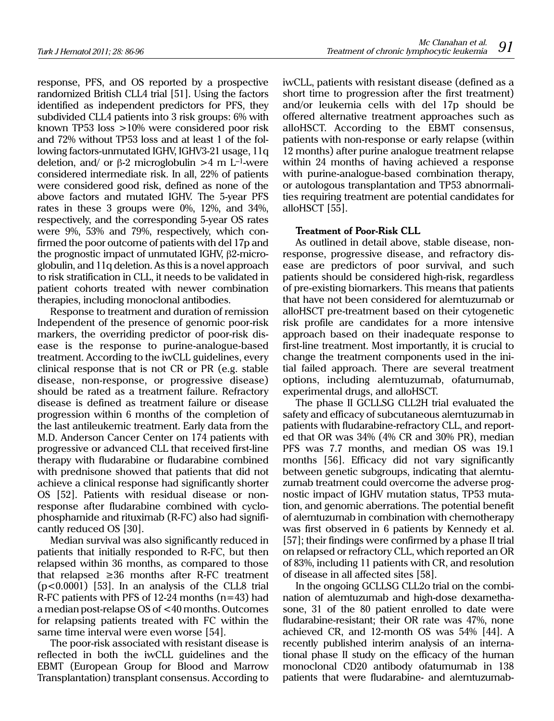response, PFS, and OS reported by a prospective randomized British CLL4 trial [51]. Using the factors identified as independent predictors for PFS, they subdivided CLL4 patients into 3 risk groups: 6% with known TP53 loss >10% were considered poor risk and 72% without TP53 loss and at least 1 of the following factors-unmutated IGHV, IGHV3-21 usage, 11q deletion, and/ or  $\beta$ -2 microglobulin >4 m L<sup>-1</sup>-were considered intermediate risk. In all, 22% of patients were considered good risk, defined as none of the above factors and mutated IGHV. The 5-year PFS rates in these 3 groups were 0%, 12%, and 34%, respectively, and the corresponding 5-year OS rates were 9%, 53% and 79%, respectively, which confirmed the poor outcome of patients with del 17p and the prognostic impact of unmutated IGHV,  $\beta$ 2-microglobulin, and 11q deletion. As this is a novel approach to risk stratification in CLL, it needs to be validated in patient cohorts treated with newer combination therapies, including monoclonal antibodies.

Response to treatment and duration of remission Independent of the presence of genomic poor-risk markers, the overriding predictor of poor-risk disease is the response to purine-analogue-based treatment. According to the iwCLL guidelines, every clinical response that is not CR or PR (e.g. stable disease, non-response, or progressive disease) should be rated as a treatment failure. Refractory disease is defined as treatment failure or disease progression within 6 months of the completion of the last antileukemic treatment. Early data from the M.D. Anderson Cancer Center on 174 patients with progressive or advanced CLL that received first-line therapy with fludarabine or fludarabine combined with prednisone showed that patients that did not achieve a clinical response had significantly shorter OS [52]. Patients with residual disease or nonresponse after fludarabine combined with cyclophosphamide and rituximab (R-FC) also had significantly reduced OS [30].

Median survival was also significantly reduced in patients that initially responded to R-FC, but then relapsed within 36 months, as compared to those that relapsed  $\geq 36$  months after R-FC treatment (p<0.0001) [53]. In an analysis of the CLL8 trial R-FC patients with PFS of 12-24 months (n=43) had a median post-relapse OS of <40 months. Outcomes for relapsing patients treated with FC within the same time interval were even worse [54].

The poor-risk associated with resistant disease is reflected in both the iwCLL guidelines and the EBMT (European Group for Blood and Marrow Transplantation) transplant consensus. According to iwCLL, patients with resistant disease (defined as a short time to progression after the first treatment) and/or leukemia cells with del 17p should be offered alternative treatment approaches such as alloHSCT. According to the EBMT consensus, patients with non-response or early relapse (within 12 months) after purine analogue treatment relapse within 24 months of having achieved a response with purine-analogue-based combination therapy, or autologous transplantation and TP53 abnormalities requiring treatment are potential candidates for alloHSCT [55].

## **Treatment of Poor-Risk CLL**

As outlined in detail above, stable disease, nonresponse, progressive disease, and refractory disease are predictors of poor survival, and such patients should be considered high-risk, regardless of pre-existing biomarkers. This means that patients that have not been considered for alemtuzumab or alloHSCT pre-treatment based on their cytogenetic risk profile are candidates for a more intensive approach based on their inadequate response to first-line treatment. Most importantly, it is crucial to change the treatment components used in the initial failed approach. There are several treatment options, including alemtuzumab, ofatumumab, experimental drugs, and alloHSCT.

The phase II GCLLSG CLL2H trial evaluated the safety and efficacy of subcutaneous alemtuzumab in patients with fludarabine-refractory CLL, and reported that OR was 34% (4% CR and 30% PR), median PFS was 7.7 months, and median OS was 19.1 months [56]. Efficacy did not vary significantly between genetic subgroups, indicating that alemtuzumab treatment could overcome the adverse prognostic impact of IGHV mutation status, TP53 mutation, and genomic aberrations. The potential benefit of alemtuzumab in combination with chemotherapy was first observed in 6 patients by Kennedy et al. [57]; their findings were confirmed by a phase II trial on relapsed or refractory CLL, which reported an OR of 83%, including 11 patients with CR, and resolution of disease in all affected sites [58].

In the ongoing GCLLSG CLL2o trial on the combination of alemtuzumab and high-dose dexamethasone, 31 of the 80 patient enrolled to date were fludarabine-resistant; their OR rate was 47%, none achieved CR, and 12-month OS was 54% [44]. A recently published interim analysis of an international phase II study on the efficacy of the human monoclonal CD20 antibody ofatumumab in 138 patients that were fludarabine- and alemtuzumab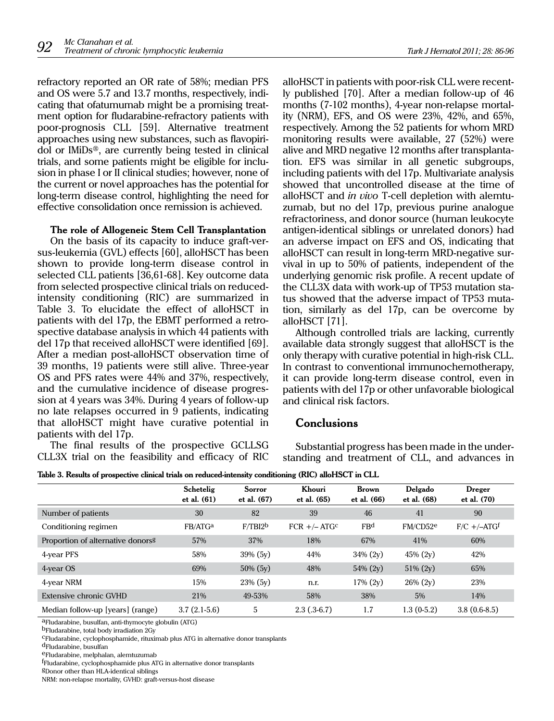refractory reported an OR rate of 58%; median PFS and OS were 5.7 and 13.7 months, respectively, indicating that ofatumumab might be a promising treatment option for fludarabine-refractory patients with poor-prognosis CLL [59]. Alternative treatment approaches using new substances, such as flavopiridol or IMiDs®, are currently being tested in clinical trials, and some patients might be eligible for inclusion in phase I or II clinical studies; however, none of the current or novel approaches has the potential for long-term disease control, highlighting the need for effective consolidation once remission is achieved.

# **The role of Allogeneic Stem Cell Transplantation**

On the basis of its capacity to induce graft-versus-leukemia (GVL) effects [60], alloHSCT has been shown to provide long-term disease control in selected CLL patients [36,61-68]. Key outcome data from selected prospective clinical trials on reducedintensity conditioning (RIC) are summarized in Table 3. To elucidate the effect of alloHSCT in patients with del 17p, the EBMT performed a retrospective database analysis in which 44 patients with del 17p that received alloHSCT were identified [69]. After a median post-alloHSCT observation time of 39 months, 19 patients were still alive. Three-year OS and PFS rates were 44% and 37%, respectively, and the cumulative incidence of disease progression at 4 years was 34%. During 4 years of follow-up no late relapses occurred in 9 patients, indicating that alloHSCT might have curative potential in patients with del 17p.

The final results of the prospective GCLLSG CLL3X trial on the feasibility and efficacy of RIC alloHSCT in patients with poor-risk CLL were recently published [70]. After a median follow-up of 46 months (7-102 months), 4-year non-relapse mortality (NRM), EFS, and OS were 23%, 42%, and 65%, respectively. Among the 52 patients for whom MRD monitoring results were available, 27 (52%) were alive and MRD negative 12 months after transplantation. EFS was similar in all genetic subgroups, including patients with del 17p. Multivariate analysis showed that uncontrolled disease at the time of alloHSCT and *in vivo* T-cell depletion with alemtuzumab, but no del 17p, previous purine analogue refractoriness, and donor source (human leukocyte antigen-identical siblings or unrelated donors) had an adverse impact on EFS and OS, indicating that alloHSCT can result in long-term MRD-negative survival in up to 50% of patients, independent of the underlying genomic risk profile. A recent update of the CLL3X data with work-up of TP53 mutation status showed that the adverse impact of TP53 mutation, similarly as del 17p, can be overcome by alloHSCT [71].

Although controlled trials are lacking, currently available data strongly suggest that alloHSCT is the only therapy with curative potential in high-risk CLL. In contrast to conventional immunochemotherapy, it can provide long-term disease control, even in patients with del 17p or other unfavorable biological and clinical risk factors.

# **Conclusions**

Substantial progress has been made in the understanding and treatment of CLL, and advances in

**Table 3. Results of prospective clinical trials on reduced-intensity conditioning (RIC) alloHSCT in CLL**

|                                               | Schetelig<br>et al. (61) | Sorror<br>et al. (67) | Khouri<br>et al. (65) | <b>Brown</b><br>et al. (66) | Delgado<br>et al. (68) | Dreger<br>et al. (70) |
|-----------------------------------------------|--------------------------|-----------------------|-----------------------|-----------------------------|------------------------|-----------------------|
| Number of patients                            | 30                       | 82                    | 39                    | 46                          | 41                     | 90                    |
| Conditioning regimen                          | FB/ATG <sup>a</sup>      | F/TBI2 <sup>b</sup>   | $FCR +/- ATGc$        | FB <sup>d</sup>             | FM/CD52 <sup>e</sup>   | $F/C + / -ATGf$       |
| Proportion of alternative donors <sup>g</sup> | 57%                      | 37%                   | 18%                   | 67%                         | 41%                    | 60%                   |
| 4-year PFS                                    | 58%                      | 39% (5y)              | 44%                   | $34\% (2y)$                 | $45\% (2y)$            | 42%                   |
| 4-year OS                                     | 69%                      | $50\% (5y)$           | 48%                   | $54\% (2y)$                 | $51\% (2y)$            | 65%                   |
| 4-year NRM                                    | 15%                      | $23\% (5v)$           | n.r.                  | $17\% (2v)$                 | $26\% (2v)$            | 23%                   |
| Extensive chronic GVHD                        | 21%                      | 49-53%                | 58%                   | 38%                         | 5%                     | 14%                   |
| Median follow-up [years] (range)              | $3.7(2.1-5.6)$           | 5                     | $2.3(0.3-6.7)$        | 1.7                         | $1.3(0-5.2)$           | $3.8(0.6-8.5)$        |

aFludarabine, busulfan, anti-thymocyte globulin (ATG)

cFludarabine, cyclophosphamide, rituximab plus ATG in alternative donor transplants

eFludarabine, melphalan, alemtuzumab

<sup>f</sup>Fludarabine, cyclophosphamide plus ATG in alternative donor transplants

NRM: non-relapse mortality, GVHD: graft-versus-host disease

bFludarabine, total body irradiation 2Gy

dFludarabine, busulfan

gDonor other than HLA-identical siblings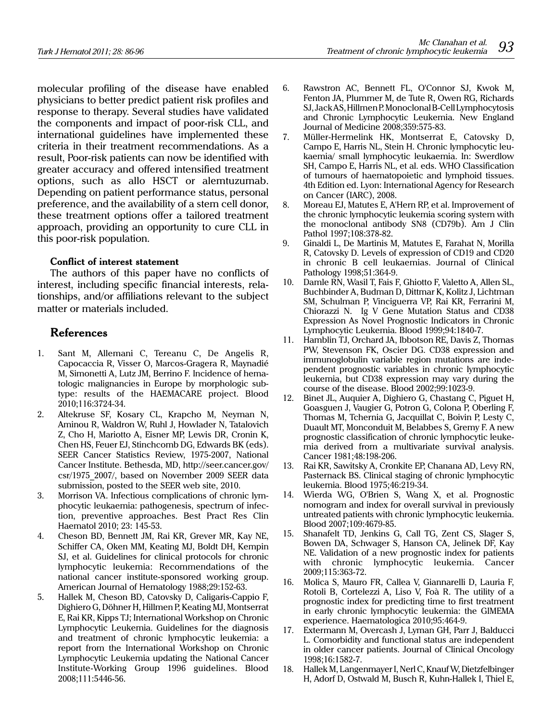molecular profiling of the disease have enabled physicians to better predict patient risk profiles and response to therapy. Several studies have validated the components and impact of poor-risk CLL, and international guidelines have implemented these criteria in their treatment recommendations. As a result, Poor-risk patients can now be identified with greater accuracy and offered intensified treatment options, such as allo HSCT or alemtuzumab. Depending on patient performance status, personal preference, and the availability of a stem cell donor, these treatment options offer a tailored treatment approach, providing an opportunity to cure CLL in this poor-risk population.

# **Conflict of interest statement**

The authors of this paper have no conflicts of interest, including specific financial interests, relationships, and/or affiliations relevant to the subject matter or materials included.

# **References**

- 1. Sant M, Allemani C, Tereanu C, De Angelis R, Capocaccia R, Visser O, Marcos-Gragera R, Maynadié M, Simonetti A, Lutz JM, Berrino F. Incidence of hematologic malignancies in Europe by morphologic subtype: results of the HAEMACARE project. Blood 2010;116:3724-34.
- 2. Altekruse SF, Kosary CL, Krapcho M, Neyman N, Aminou R, Waldron W, Ruhl J, Howlader N, Tatalovich Z, Cho H, Mariotto A, Eisner MP, Lewis DR, Cronin K, Chen HS, Feuer EJ, Stinchcomb DG, Edwards BK (eds). SEER Cancer Statistics Review, 1975-2007, National Cancer Institute. Bethesda, MD, http://seer.cancer.gov/ csr/1975\_2007/, based on November 2009 SEER data submission, posted to the SEER web site, 2010.
- 3. Morrison VA. Infectious complications of chronic lymphocytic leukaemia: pathogenesis, spectrum of infection, preventive approaches. Best Pract Res Clin Haematol 2010; 23: 145-53.
- 4. Cheson BD, Bennett JM, Rai KR, Grever MR, Kay NE, Schiffer CA, Oken MM, Keating MJ, Boldt DH, Kempin SJ, et al. Guidelines for clinical protocols for chronic lymphocytic leukemia: Recommendations of the national cancer institute-sponsored working group. American Journal of Hematology 1988;29:152-63.
- 5. Hallek M, Cheson BD, Catovsky D, Caligaris-Cappio F, Dighiero G, Döhner H, Hillmen P, Keating MJ, Montserrat E, Rai KR, Kipps TJ; International Workshop on Chronic Lymphocytic Leukemia. Guidelines for the diagnosis and treatment of chronic lymphocytic leukemia: a report from the International Workshop on Chronic Lymphocytic Leukemia updating the National Cancer Institute-Working Group 1996 guidelines. Blood 2008;111:5446-56.
- 6. Rawstron AC, Bennett FL, O'Connor SJ, Kwok M, Fenton JA, Plummer M, de Tute R, Owen RG, Richards SJ, Jack AS, Hillmen P. Monoclonal B-Cell Lymphocytosis and Chronic Lymphocytic Leukemia. New England Journal of Medicine 2008;359:575-83.
- 7. Müller-Hermelink HK, Montserrat E, Catovsky D, Campo E, Harris NL, Stein H. Chronic lymphocytic leukaemia/ small lymphocytic leukaemia. In: Swerdlow SH, Campo E, Harris NL, et al. eds. WHO Classification of tumours of haematopoietic and lymphoid tissues. 4th Edition ed. Lyon: International Agency for Research on Cancer (IARC), 2008.
- 8. Moreau EJ, Matutes E, A'Hern RP, et al. Improvement of the chronic lymphocytic leukemia scoring system with the monoclonal antibody SN8 (CD79b). Am J Clin Pathol 1997;108:378-82.
- 9. Ginaldi L, De Martinis M, Matutes E, Farahat N, Morilla R, Catovsky D. Levels of expression of CD19 and CD20 in chronic B cell leukaemias. Journal of Clinical Pathology 1998;51:364-9.
- 10. Damle RN, Wasil T, Fais F, Ghiotto F, Valetto A, Allen SL, Buchbinder A, Budman D, Dittmar K, Kolitz J, Lichtman SM, Schulman P, Vinciguerra VP, Rai KR, Ferrarini M, Chiorazzi N. Ig V Gene Mutation Status and CD38 Expression As Novel Prognostic Indicators in Chronic Lymphocytic Leukemia. Blood 1999;94:1840-7.
- 11. Hamblin TJ, Orchard JA, Ibbotson RE, Davis Z, Thomas PW, Stevenson FK, Oscier DG. CD38 expression and immunoglobulin variable region mutations are independent prognostic variables in chronic lymphocytic leukemia, but CD38 expression may vary during the course of the disease. Blood 2002;99:1023-9.
- 12. Binet JL, Auquier A, Dighiero G, Chastang C, Piguet H, Goasguen J, Vaugier G, Potron G, Colona P, Oberling F, Thomas M, Tchernia G, Jacquillat C, Boivin P, Lesty C, Duault MT, Monconduit M, Belabbes S, Gremy F. A new prognostic classification of chronic lymphocytic leukemia derived from a multivariate survival analysis. Cancer 1981;48:198-206.
- 13. Rai KR, Sawitsky A, Cronkite EP, Chanana AD, Levy RN, Pasternack BS. Clinical staging of chronic lymphocytic leukemia. Blood 1975;46:219-34.
- 14. Wierda WG, O'Brien S, Wang X, et al. Prognostic nomogram and index for overall survival in previously untreated patients with chronic lymphocytic leukemia. Blood 2007;109:4679-85.
- 15. Shanafelt TD, Jenkins G, Call TG, Zent CS, Slager S, Bowen DA, Schwager S, Hanson CA, Jelinek DF, Kay NE. Validation of a new prognostic index for patients with chronic lymphocytic leukemia. Cancer 2009;115:363-72.
- 16. Molica S, Mauro FR, Callea V, Giannarelli D, Lauria F, Rotoli B, Cortelezzi A, Liso V, Foà R. The utility of a prognostic index for predicting time to first treatment in early chronic lymphocytic leukemia: the GIMEMA experience. Haematologica 2010;95:464-9.
- 17. Extermann M, Overcash J, Lyman GH, Parr J, Balducci L. Comorbidity and functional status are independent in older cancer patients. Journal of Clinical Oncology 1998;16:1582-7.
- 18. Hallek M, Langenmayer I, Nerl C, Knauf W, Dietzfelbinger H, Adorf D, Ostwald M, Busch R, Kuhn-Hallek I, Thiel E,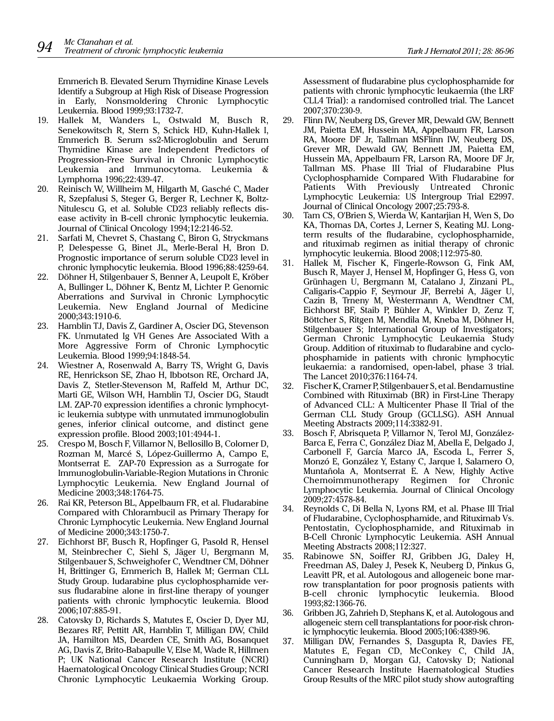Emmerich B. Elevated Serum Thymidine Kinase Levels Identify a Subgroup at High Risk of Disease Progression in Early, Nonsmoldering Chronic Lymphocytic Leukemia. Blood 1999;93:1732-7.

- 19. Hallek M, Wanders L, Ostwald M, Busch R, Senekowitsch R, Stern S, Schick HD, Kuhn-Hallek I, Emmerich B. Serum ss2-Microglobulin and Serum Thymidine Kinase are Independent Predictors of Progression-Free Survival in Chronic Lymphocytic Leukemia and Immunocytoma. Leukemia & Lymphoma 1996;22:439-47.
- 20. Reinisch W, Willheim M, Hilgarth M, Gasché C, Mader R, Szepfalusi S, Steger G, Berger R, Lechner K, Boltz-Nitulescu G, et al. Soluble CD23 reliably reflects disease activity in B-cell chronic lymphocytic leukemia. Journal of Clinical Oncology 1994;12:2146-52.
- 21. Sarfati M, Chevret S, Chastang C, Biron G, Stryckmans P, Delespesse G, Binet JL, Merle-Beral H, Bron D. Prognostic importance of serum soluble CD23 level in chronic lymphocytic leukemia. Blood 1996;88:4259-64.
- 22. Döhner H, Stilgenbauer S, Benner A, Leupolt E, Kröber A, Bullinger L, Döhner K, Bentz M, Lichter P. Genomic Aberrations and Survival in Chronic Lymphocytic Leukemia. New England Journal of Medicine 2000;343:1910-6.
- 23. Hamblin TJ, Davis Z, Gardiner A, Oscier DG, Stevenson FK. Unmutated Ig VH Genes Are Associated With a More Aggressive Form of Chronic Lymphocytic Leukemia. Blood 1999;94:1848-54.
- 24. Wiestner A, Rosenwald A, Barry TS, Wright G, Davis RE, Henrickson SE, Zhao H, Ibbotson RE, Orchard JA, Davis Z, Stetler-Stevenson M, Raffeld M, Arthur DC, Marti GE, Wilson WH, Hamblin TJ, Oscier DG, Staudt LM. ZAP-70 expression identifies a chronic lymphocytic leukemia subtype with unmutated immunoglobulin genes, inferior clinical outcome, and distinct gene expression profile. Blood 2003;101:4944-1.
- 25. Crespo M, Bosch F, Villamor N, Bellosillo B, Colomer D, Rozman M, Marcé S, López-Guillermo A, Campo E, Montserrat E. ZAP-70 Expression as a Surrogate for Immunoglobulin-Variable-Region Mutations in Chronic Lymphocytic Leukemia. New England Journal of Medicine 2003;348:1764-75.
- 26. Rai KR, Peterson BL, Appelbaum FR, et al. Fludarabine Compared with Chlorambucil as Primary Therapy for Chronic Lymphocytic Leukemia. New England Journal of Medicine 2000;343:1750-7.
- 27. Eichhorst BF, Busch R, Hopfinger G, Pasold R, Hensel M, Steinbrecher C, Siehl S, Jäger U, Bergmann M, Stilgenbauer S, Schweighofer C, Wendtner CM, Döhner H, Brittinger G, Emmerich B, Hallek M; German CLL Study Group. ludarabine plus cyclophosphamide versus fludarabine alone in first-line therapy of younger patients with chronic lymphocytic leukemia. Blood 2006;107:885-91.
- 28. Catovsky D, Richards S, Matutes E, Oscier D, Dyer MJ, Bezares RF, Pettitt AR, Hamblin T, Milligan DW, Child JA, Hamilton MS, Dearden CE, Smith AG, Bosanquet AG, Davis Z, Brito-Babapulle V, Else M, Wade R, Hillmen P; UK National Cancer Research Institute (NCRI) Haematological Oncology Clinical Studies Group; NCRI Chronic Lymphocytic Leukaemia Working Group.

Assessment of fludarabine plus cyclophosphamide for patients with chronic lymphocytic leukaemia (the LRF CLL4 Trial): a randomised controlled trial. The Lancet 2007;370:230-9.

- 29. Flinn IW, Neuberg DS, Grever MR, Dewald GW, Bennett JM, Paietta EM, Hussein MA, Appelbaum FR, Larson RA, Moore DF Jr, Tallman MSFlinn IW, Neuberg DS, Grever MR, Dewald GW, Bennett JM, Paietta EM, Hussein MA, Appelbaum FR, Larson RA, Moore DF Jr, Tallman MS. Phase III Trial of Fludarabine Plus Cyclophosphamide Compared With Fludarabine for Patients With Previously Untreated Chronic Lymphocytic Leukemia: US Intergroup Trial E2997. Journal of Clinical Oncology 2007;25:793-8.
- 30. Tam CS, O'Brien S, Wierda W, Kantarjian H, Wen S, Do KA, Thomas DA, Cortes J, Lerner S, Keating MJ. Longterm results of the fludarabine, cyclophosphamide, and rituximab regimen as initial therapy of chronic lymphocytic leukemia. Blood 2008;112:975-80.
- 31. Hallek M, Fischer K, Fingerle-Rowson G, Fink AM, Busch R, Mayer J, Hensel M, Hopfinger G, Hess G, von Grünhagen U, Bergmann M, Catalano J, Zinzani PL, Caligaris-Cappio F, Seymour JF, Berrebi A, Jäger U, Cazin B, Trneny M, Westermann A, Wendtner CM, Eichhorst BF, Staib P, Bühler A, Winkler D, Zenz T, Böttcher S, Ritgen M, Mendila M, Kneba M, Döhner H, Stilgenbauer S; International Group of Investigators; German Chronic Lymphocytic Leukaemia Study Group. Addition of rituximab to fludarabine and cyclophosphamide in patients with chronic lymphocytic leukaemia: a randomised, open-label, phase 3 trial. The Lancet 2010;376:1164-74.
- 32. Fischer K, Cramer P, Stilgenbauer S, et al. Bendamustine Combined with Rituximab (BR) in First-Line Therapy of Advanced CLL: A Multicenter Phase II Trial of the German CLL Study Group (GCLLSG). ASH Annual Meeting Abstracts 2009;114:3382-91.
- 33. Bosch F, Abrisqueta P, Villamor N, Terol MJ, González-Barca E, Ferra C, González Diaz M, Abella E, Delgado J, Carbonell F, García Marco JA, Escoda L, Ferrer S, Monzó E, González Y, Estany C, Jarque I, Salamero O, Muntañola A, Montserrat E. A New, Highly Active Chemoimmunotherapy Regimen for Chronic Lymphocytic Leukemia. Journal of Clinical Oncology 2009;27:4578-84.
- 34. Reynolds C, Di Bella N, Lyons RM, et al. Phase III Trial of Fludarabine, Cyclophosphamide, and Rituximab Vs. Pentostatin, Cyclophosphamide, and Rituximab in B-Cell Chronic Lymphocytic Leukemia. ASH Annual Meeting Abstracts 2008;112:327.
- 35. Rabinowe SN, Soiffer RJ, Gribben JG, Daley H, Freedman AS, Daley J, Pesek K, Neuberg D, Pinkus G, Leavitt PR, et al. Autologous and allogeneic bone marrow transplantation for poor prognosis patients with B-cell chronic lymphocytic leukemia. Blood 1993;82:1366-76.
- 36. Gribben JG, Zahrieh D, Stephans K, et al. Autologous and allogeneic stem cell transplantations for poor-risk chronic lymphocytic leukemia. Blood 2005;106:4389-96.
- 37. Milligan DW, Fernandes S, Dasgupta R, Davies FE, Matutes E, Fegan CD, McConkey C, Child JA, Cunningham D, Morgan GJ, Catovsky D; National Cancer Research Institute Haematological Studies Group Results of the MRC pilot study show autografting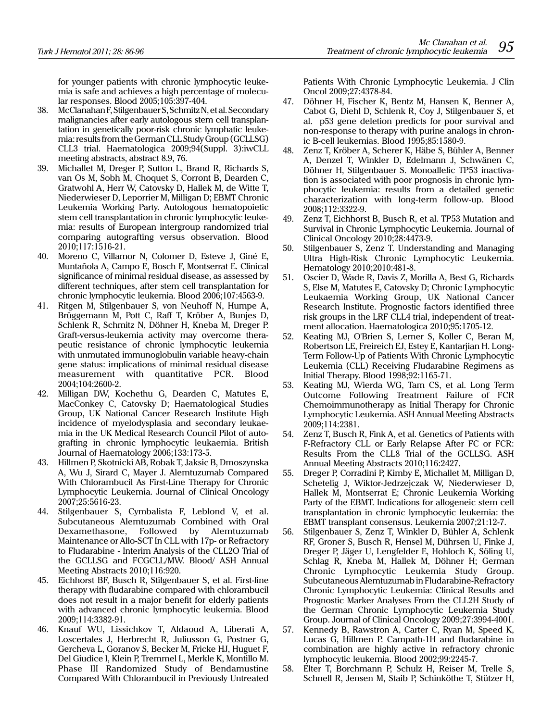for younger patients with chronic lymphocytic leukemia is safe and achieves a high percentage of molecular responses. Blood 2005;105:397-404.

- 38. McClanahan F, Stilgenbauer S, Schmitz N, et al. Secondary malignancies after early autologous stem cell transplantation in genetically poor-risk chronic lymphatic leukemia: results from the German CLL Study Group (GCLLSG) CLL3 trial. Haematologica 2009;94(Suppl. 3):iwCLL meeting abstracts, abstract 8.9, 76.
- 39. Michallet M, Dreger P, Sutton L, Brand R, Richards S, van Os M, Sobh M, Choquet S, Corront B, Dearden C, Gratwohl A, Herr W, Catovsky D, Hallek M, de Witte T, Niederwieser D, Leporrier M, Milligan D; EBMT Chronic Leukemia Working Party. Autologous hematopoietic stem cell transplantation in chronic lymphocytic leukemia: results of European intergroup randomized trial comparing autografting versus observation. Blood 2010;117:1516-21.
- 40. Moreno C, Villamor N, Colomer D, Esteve J, Giné E, Muntañola A, Campo E, Bosch F, Montserrat E. Clinical significance of minimal residual disease, as assessed by different techniques, after stem cell transplantation for chronic lymphocytic leukemia. Blood 2006;107:4563-9.
- 41. Ritgen M, Stilgenbauer S, von Neuhoff N, Humpe A, Brüggemann M, Pott C, Raff T, Kröber A, Bunjes D, Schlenk R, Schmitz N, Döhner H, Kneba M, Dreger P. Graft-versus-leukemia activity may overcome therapeutic resistance of chronic lymphocytic leukemia with unmutated immunoglobulin variable heavy-chain gene status: implications of minimal residual disease measurement with quantitative PCR. Blood 2004;104:2600-2.
- 42. Milligan DW, Kochethu G, Dearden C, Matutes E, MacConkey C, Catovsky D; Haematological Studies Group, UK National Cancer Research Institute High incidence of myelodysplasia and secondary leukaemia in the UK Medical Research Council Pilot of autografting in chronic lymphocytic leukaemia. British Journal of Haematology 2006;133:173-5.
- 43. Hillmen P, Skotnicki AB, Robak T, Jaksic B, Dmoszynska A, Wu J, Sirard C, Mayer J. Alemtuzumab Compared With Chlorambucil As First-Line Therapy for Chronic Lymphocytic Leukemia. Journal of Clinical Oncology 2007;25:5616-23.
- 44. Stilgenbauer S, Cymbalista F, Leblond V, et al. Subcutaneous Alemtuzumab Combined with Oral Dexamethasone, Followed by Alemtuzumab Maintenance or Allo-SCT In CLL with 17p- or Refractory to Fludarabine - Interim Analysis of the CLL2O Trial of the GCLLSG and FCGCLL/MW. Blood/ ASH Annual Meeting Abstracts 2010;116:920.
- 45. Eichhorst BF, Busch R, Stilgenbauer S, et al. First-line therapy with fludarabine compared with chlorambucil does not result in a major benefit for elderly patients with advanced chronic lymphocytic leukemia. Blood 2009;114:3382-91.
- 46. Knauf WU, Lissichkov T, Aldaoud A, Liberati A, Loscertales J, Herbrecht R, Juliusson G, Postner G, Gercheva L, Goranov S, Becker M, Fricke HJ, Huguet F, Del Giudice I, Klein P, Tremmel L, Merkle K, Montillo M. Phase III Randomized Study of Bendamustine Compared With Chlorambucil in Previously Untreated

Patients With Chronic Lymphocytic Leukemia. J Clin Oncol 2009;27:4378-84.

- 47. Döhner H, Fischer K, Bentz M, Hansen K, Benner A, Cabot G, Diehl D, Schlenk R, Coy J, Stilgenbauer S, et al. p53 gene deletion predicts for poor survival and non-response to therapy with purine analogs in chronic B-cell leukemias. Blood 1995;85:1580-9.
- 48. Zenz T, Kröber A, Scherer K, Häbe S, Bühler A, Benner A, Denzel T, Winkler D, Edelmann J, Schwänen C, Döhner H, Stilgenbauer S. Monoallelic TP53 inactivation is associated with poor prognosis in chronic lymphocytic leukemia: results from a detailed genetic characterization with long-term follow-up. Blood 2008;112:3322-9.
- 49. Zenz T, Eichhorst B, Busch R, et al. TP53 Mutation and Survival in Chronic Lymphocytic Leukemia. Journal of Clinical Oncology 2010;28:4473-9.
- 50. Stilgenbauer S, Zenz T. Understanding and Managing Ultra High-Risk Chronic Lymphocytic Leukemia. Hematology 2010;2010:481-8.
- 51. Oscier D, Wade R, Davis Z, Morilla A, Best G, Richards S, Else M, Matutes E, Catovsky D; Chronic Lymphocytic Leukaemia Working Group, UK National Cancer Research Institute. Prognostic factors identified three risk groups in the LRF CLL4 trial, independent of treatment allocation. Haematologica 2010;95:1705-12.
- 52. Keating MJ, O'Brien S, Lerner S, Koller C, Beran M, Robertson LE, Freireich EJ, Estey E, Kantarjian H. Long-Term Follow-Up of Patients With Chronic Lymphocytic Leukemia (CLL) Receiving Fludarabine Regimens as Initial Therapy. Blood 1998;92:1165-71.
- 53. Keating MJ, Wierda WG, Tam CS, et al. Long Term Outcome Following Treatment Failure of FCR Chemoimmunotherapy as Initial Therapy for Chronic Lymphocytic Leukemia. ASH Annual Meeting Abstracts 2009;114:2381.
- 54. Zenz T, Busch R, Fink A, et al. Genetics of Patients with F-Refractory CLL or Early Relapse After FC or FCR: Results From the CLL8 Trial of the GCLLSG. ASH Annual Meeting Abstracts 2010;116:2427.
- 55. Dreger P, Corradini P, Kimby E, Michallet M, Milligan D, Schetelig J, Wiktor-Jedrzejczak W, Niederwieser D, Hallek M, Montserrat E; Chronic Leukemia Working Party of the EBMT. Indications for allogeneic stem cell transplantation in chronic lymphocytic leukemia: the EBMT transplant consensus. Leukemia 2007;21:12-7.
- 56. Stilgenbauer S, Zenz T, Winkler D, Bühler A, Schlenk RF, Groner S, Busch R, Hensel M, Dührsen U, Finke J, Dreger P, Jäger U, Lengfelder E, Hohloch K, Söling U, Schlag R, Kneba M, Hallek M, Döhner H; German Chronic Lymphocytic Leukemia Study Group. Subcutaneous Alemtuzumab in Fludarabine-Refractory Chronic Lymphocytic Leukemia: Clinical Results and Prognostic Marker Analyses From the CLL2H Study of the German Chronic Lymphocytic Leukemia Study Group. Journal of Clinical Oncology 2009;27:3994-4001.
- 57. Kennedy B, Rawstron A, Carter C, Ryan M, Speed K, Lucas G, Hillmen P. Campath-1H and fludarabine in combination are highly active in refractory chronic lymphocytic leukemia. Blood 2002;99:2245-7.
- 58. Elter T, Borchmann P, Schulz H, Reiser M, Trelle S, Schnell R, Jensen M, Staib P, Schinköthe T, Stützer H,